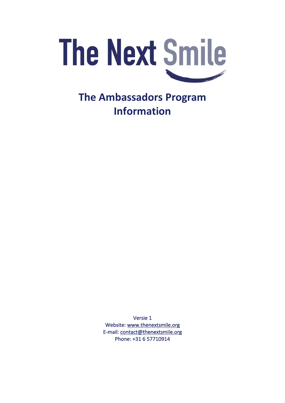

**The Ambassadors Program Information**

> Versie 1 Website: www.thenextsmile.org E-mail: contact@thenextsmile.org Phone: +31 6 57710914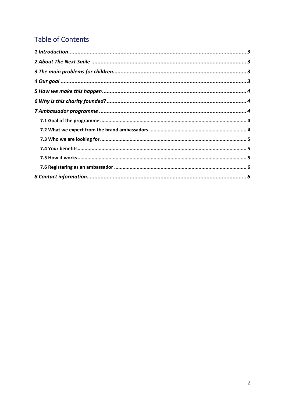# **Table of Contents**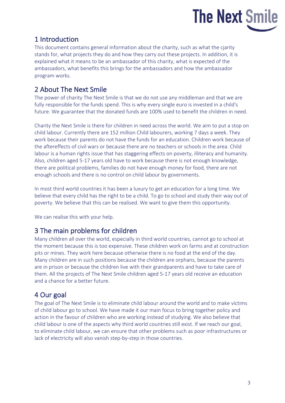

# 1 Introduction

This document contains general information about the charity, such as what the cjarity stands for, what projects they do and how they carry out these projects. In addition, it is explained what it means to be an ambassador of this charity, what is expected of the ambassadors, what benefits this brings for the ambassadors and how the ambassador program works.

# 2 About The Next Smile

The power of charity The Next Smile is that we do not use any middleman and that we are fully responsible for the funds spend. This is why every single euro is invested in a child's future. We guarantee that the donated funds are 100% used to benefit the children in need.

Charity the Next Smile is there for children in need across the world. We aim to put a stop on child labour. Currently there are 152 million Child labourers, working 7 days a week. They work because their parents do not have the funds for an education. Children work because of the aftereffects of civil wars or because there are no teachers or schools in the area. Child labour is a human rights issue that has staggering effects on poverty, illiteracy and humanity. Also, children aged 5-17 years old have to work because there is not enough knowledge, there are political problems, families do not have enough money for food, there are not enough schools and there is no control on child labour by governments.

In most third world countries it has been a luxury to get an education for a long time. We believe that every child has the right to be a child. To go to school and study their way out of poverty. We believe that this can be realised. We want to give them this opportunity.

We can realise this with your help.

# 3 The main problems for children

Many children all over the world, especially in third world countries, cannot go to school at the moment because this is too expensive. These children work on farms and at construction pits or mines. They work here because otherwise there is no food at the end of the day. Many children are in such positions because the children are orphans, because the parents are in prison or because the children live with their grandparents and have to take care of them. All the projects of The Next Smile children aged 5-17 years old receive an education and a chance for a better future.

# 4 Our goal

The goal of The Next Smile is to eliminate child labour around the world and to make victims of child labour go to school. We have made it our main focus to bring together policy and action in the favour of children who are working instead of studying. We also believe that child labour is one of the aspects why third world countries still exist. If we reach our goal, to eliminate child labour, we can ensure that other problems such as poor infrastructures or lack of electricity will also vanish step-by-step in those countries.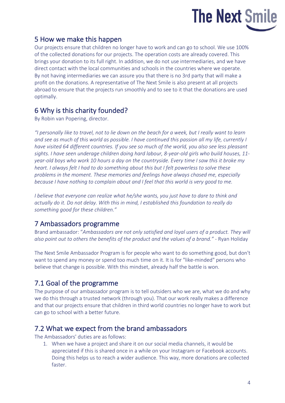

# 5 How we make this happen

Our projects ensure that children no longer have to work and can go to school. We use 100% of the collected donations for our projects. The operation costs are already covered. This brings your donation to its full right. In addition, we do not use intermediaries, and we have direct contact with the local communities and schools in the countries where we operate. By not having intermediaries we can assure you that there is no 3rd party that will make a profit on the donations. A representative of The Next Smile is also present at all projects abroad to ensure that the projects run smoothly and to see to it that the donations are used optimally.

# 6 Why is this charity founded?

By Robin van Popering, director.

*"I personally like to travel, not to lie down on the beach for a week, but I really want to learn and see as much of this world as possible. I have continued this passion all my life, currently I have visited 64 different countries. If you see so much of the world, you also see less pleasant sights. I have seen underage children doing hard labour, 8-year-old girls who build houses, 11 year-old boys who work 10 hours a day on the countryside. Every time I saw this it broke my heart. I always felt I had to do something about this but I felt powerless to solve these problems in the moment. These memories and feelings have always chased me, especially because I have nothing to complain about and I feel that this world is very good to me.*

*I believe that everyone can realize what he/she wants, you just have to dare to think and actually do it. Do not delay. With this in mind, I established this foundation to really do something good for these children."*

# 7 Ambassadors programme

Brand ambassador: "*Ambassadors are not only satisfied and loyal users of a product. They will also point out to others the benefits of the product and the values of a brand."* - Ryan Holiday

The Next Smile Ambassador Program is for people who want to do something good, but don't want to spend any money or spend too much time on it. It is for "like-minded" persons who believe that change is possible. With this mindset, already half the battle is won.

# 7.1 Goal of the programme

The purpose of our ambassador program is to tell outsiders who we are, what we do and why we do this through a trusted network (through you). That our work really makes a difference and that our projects ensure that children in third world countries no longer have to work but can go to school with a better future.

# 7.2 What we expect from the brand ambassadors

The Ambassadors' duties are as follows:

1. When we have a project and share it on our social media channels, it would be appreciated if this is shared once in a while on your Instagram or Facebook accounts. Doing this helps us to reach a wider audience. This way, more donations are collected faster.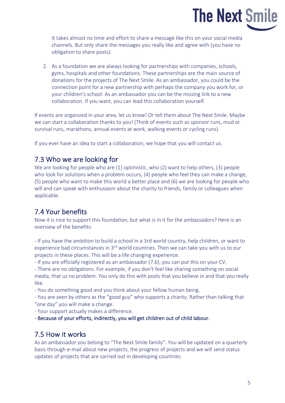It takes almost no time and effort to share a message like this on your social media channels. But only share the messages you really like and agree with (you have no obligation to share posts).

2. As a foundation we are always looking for partnerships with companies, schools, gyms, hospitals and other foundations. These partnerships are the main source of donations for the projects of The Next Smile. As an ambassador, you could be the connection point for a new partnership with perhaps the company you work for, or your children's school. As an ambassador you can be the missing link to a new collaboration. If you want, you can lead this collaboration yourself.

If events are organized in your area, let us know! Or tell them about The Next Smile. Maybe we can start a collaboration thanks to you! (Think of events such as sponsor runs, mud or survival runs, marathons, annual events at work, walking events or cycling runs).

If you ever have an idea to start a collaboration, we hope that you will contact us.

# 7.3 Who we are looking for

We are looking for people who are (1) optimistic, who (2) want to help others, (3) people who look for solutions when a problem occurs, (4) people who feel they can make a change, (5) people who want to make this world a better place and (6) we are looking for people who will and can speak with enthusiasm about the charity to friends, family or colleagues when applicable.

# 7.4 Your benefits

Now it is nice to support this foundation, but what is in it for the ambassadors? Here is an overview of the benefits:

- If you have the ambition to build a school in a 3rd world country, help children, or want to experience bad circumstances in 3<sup>rd</sup> world countries. Then we can take you with us to our projects in these places. This will be a life changing experience.

- If you are officially registered as an ambassador (7.6), you can put this on your CV.

- There are no obligations. For example, if you don't feel like sharing something on social media, that us no problem. You only do this with posts that you believe in and that you really like.

- You do something good and you think about your fellow human being.

- You are seen by others as the "good guy" who supports a charity. Rather than talking that "one day" you will make a change.

- Your support actually makes a difference.

- Because of your efforts, indirectly, you will get children out of child labour.

#### 7.5 How it works

As an ambassador you belong to "The Next Smile family". You will be updated on a quarterly basis through e-mail about new projects, the progress of projects and we will send status updates of projects that are carried out in developing countries.

**The Next Smile**